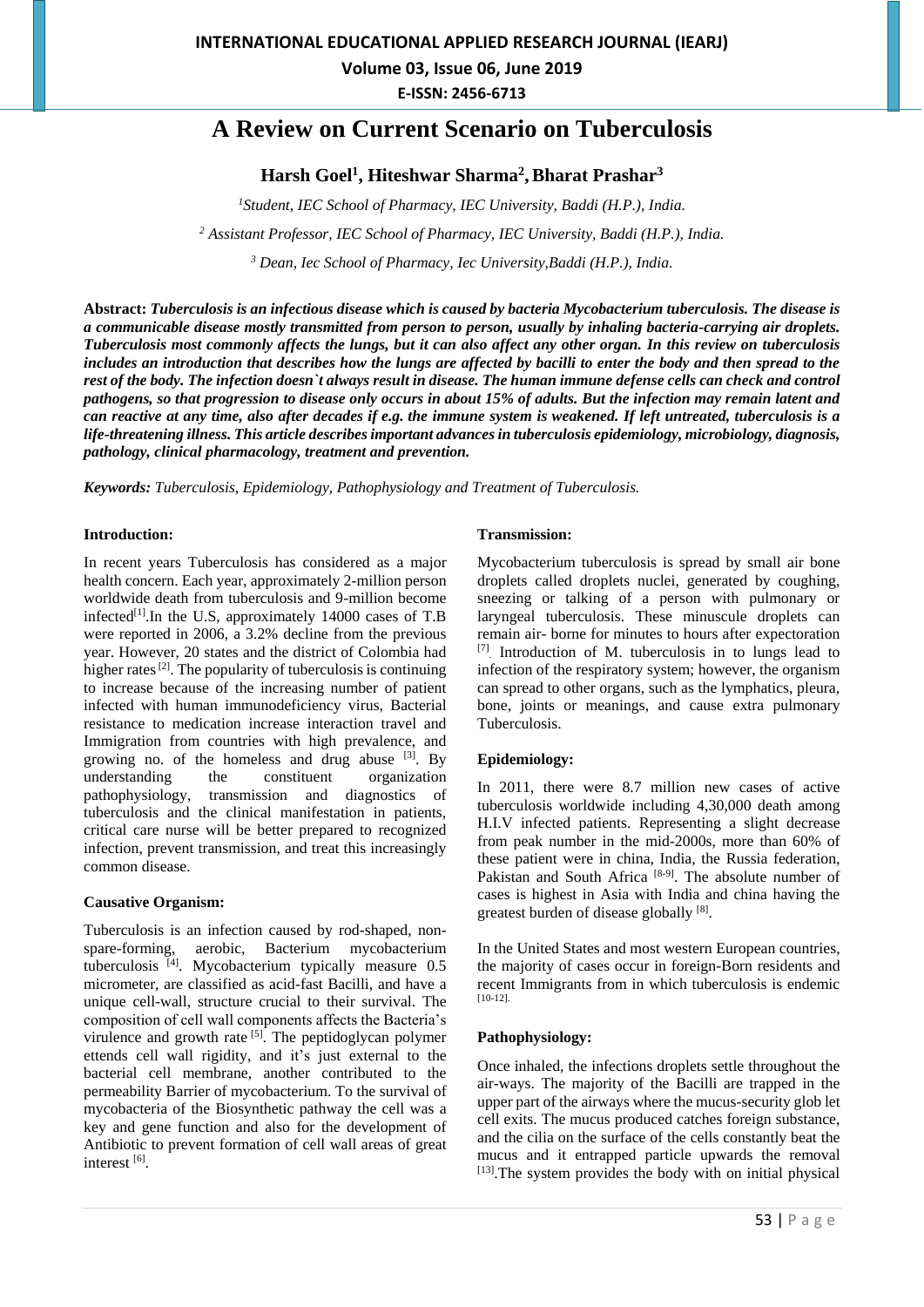**Volume 03, Issue 06, June 2019**

**E-ISSN: 2456-6713**

# **A Review on Current Scenario on Tuberculosis**

# **Harsh Goel<sup>1</sup> , Hiteshwar Sharma<sup>2</sup> ,Bharat Prashar<sup>3</sup>**

*<sup>1</sup>Student, IEC School of Pharmacy, IEC University, Baddi (H.P.), India.*

*<sup>2</sup> Assistant Professor, IEC School of Pharmacy, IEC University, Baddi (H.P.), India.*

*<sup>3</sup> Dean, Iec School of Pharmacy, Iec University,Baddi (H.P.), India.*

**Abstract:** *Tuberculosis is an infectious disease which is caused by bacteria Mycobacterium tuberculosis. The disease is a communicable disease mostly transmitted from person to person, usually by inhaling bacteria-carrying air droplets. Tuberculosis most commonly affects the lungs, but it can also affect any other organ. In this review on tuberculosis includes an introduction that describes how the lungs are affected by bacilli to enter the body and then spread to the rest of the body. The infection doesn`t always result in disease. The human immune defense cells can check and control pathogens, so that progression to disease only occurs in about 15% of adults. But the infection may remain latent and can reactive at any time, also after decades if e.g. the immune system is weakened. If left untreated, tuberculosis is a life-threatening illness. This article describes important advances in tuberculosis epidemiology, microbiology, diagnosis, pathology, clinical pharmacology, treatment and prevention.*

*Keywords: Tuberculosis, Epidemiology, Pathophysiology and Treatment of Tuberculosis.*

#### **Introduction:**

In recent years Tuberculosis has considered as a major health concern. Each year, approximately 2-million person worldwide death from tuberculosis and 9-million become infected $[1]$ . In the U.S, approximately 14000 cases of T.B were reported in 2006, a 3.2% decline from the previous year. However, 20 states and the district of Colombia had higher rates<sup>[2]</sup>. The popularity of tuberculosis is continuing to increase because of the increasing number of patient infected with human immunodeficiency virus, Bacterial resistance to medication increase interaction travel and Immigration from countries with high prevalence, and growing no. of the homeless and drug abuse  $[3]$ . By understanding the constituent organization pathophysiology, transmission and diagnostics of tuberculosis and the clinical manifestation in patients, critical care nurse will be better prepared to recognized infection, prevent transmission, and treat this increasingly common disease.

#### **Causative Organism:**

Tuberculosis is an infection caused by rod-shaped, nonspare-forming, aerobic, Bacterium mycobacterium tuberculosis [4]. Mycobacterium typically measure 0.5 micrometer, are classified as acid-fast Bacilli, and have a unique cell-wall, structure crucial to their survival. The composition of cell wall components affects the Bacteria's virulence and growth rate  $[5]$ . The peptidoglycan polymer ettends cell wall rigidity, and it's just external to the bacterial cell membrane, another contributed to the permeability Barrier of mycobacterium. To the survival of mycobacteria of the Biosynthetic pathway the cell was a key and gene function and also for the development of Antibiotic to prevent formation of cell wall areas of great interest [6].

#### **Transmission:**

Mycobacterium tuberculosis is spread by small air bone droplets called droplets nuclei, generated by coughing, sneezing or talking of a person with pulmonary or laryngeal tuberculosis. These minuscule droplets can remain air- borne for minutes to hours after expectoration [7] Introduction of M. tuberculosis in to lungs lead to infection of the respiratory system; however, the organism can spread to other organs, such as the lymphatics, pleura, bone, joints or meanings, and cause extra pulmonary Tuberculosis.

#### **Epidemiology:**

In 2011, there were 8.7 million new cases of active tuberculosis worldwide including 4,30,000 death among H.I.V infected patients. Representing a slight decrease from peak number in the mid-2000s, more than 60% of these patient were in china, India, the Russia federation, Pakistan and South Africa<sup>[8-9]</sup>. The absolute number of cases is highest in Asia with India and china having the greatest burden of disease globally [8].

In the United States and most western European countries, the majority of cases occur in foreign-Born residents and recent Immigrants from in which tuberculosis is endemic [10-12].

#### **Pathophysiology:**

Once inhaled, the infections droplets settle throughout the air-ways. The majority of the Bacilli are trapped in the upper part of the airways where the mucus-security glob let cell exits. The mucus produced catches foreign substance, and the cilia on the surface of the cells constantly beat the mucus and it entrapped particle upwards the removal [13]. The system provides the body with on initial physical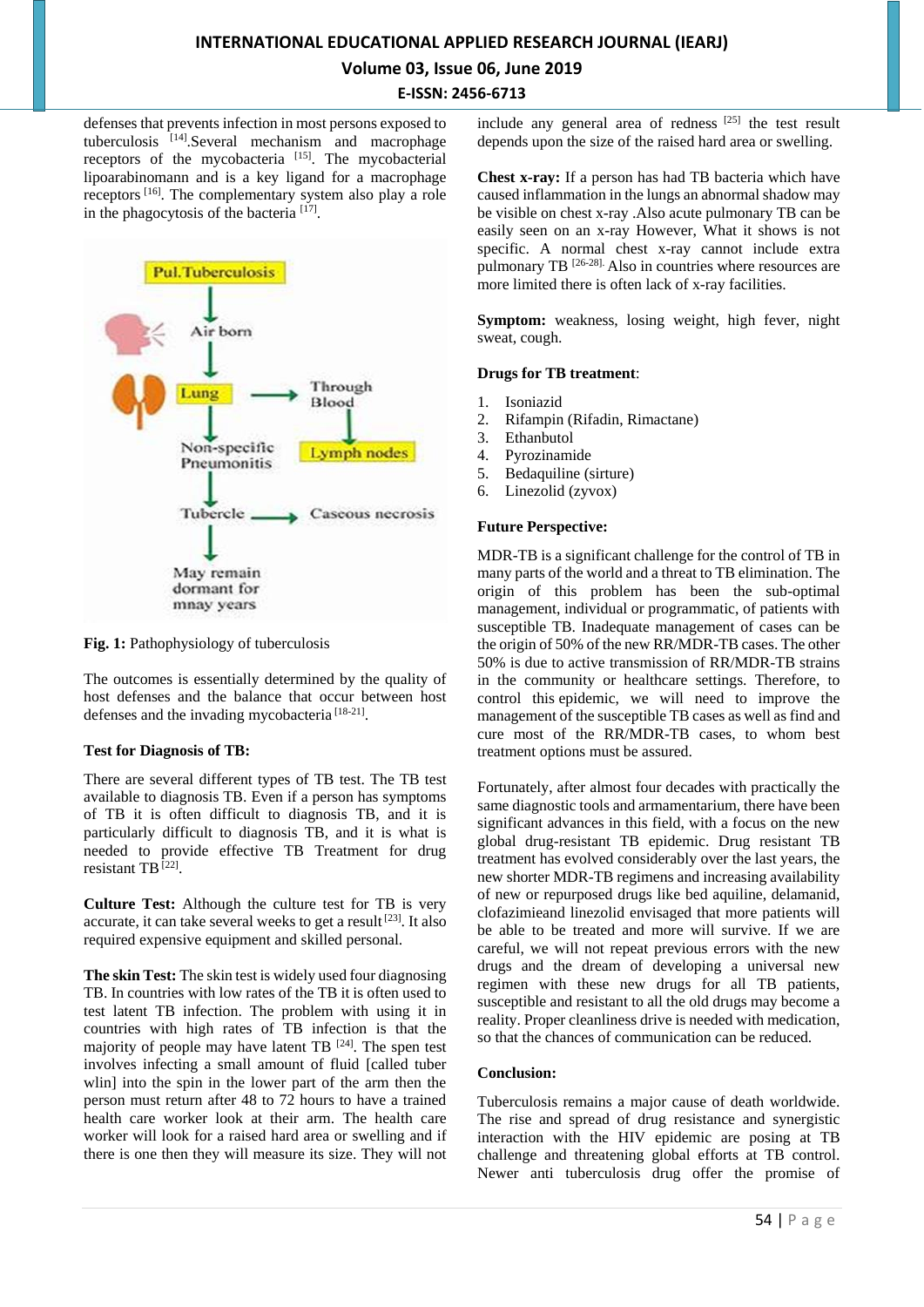# **INTERNATIONAL EDUCATIONAL APPLIED RESEARCH JOURNAL (IEARJ) Volume 03, Issue 06, June 2019 E-ISSN: 2456-6713**

defenses that prevents infection in most persons exposed to tuberculosis [14]. Several mechanism and macrophage receptors of the mycobacteria [15]. The mycobacterial lipoarabinomann and is a key ligand for a macrophage receptors [16]. The complementary system also play a role in the phagocytosis of the bacteria [17].



Fig. 1: Pathophysiology of tuberculosis

The outcomes is essentially determined by the quality of host defenses and the balance that occur between host defenses and the invading mycobacteria<sup>[18-21]</sup>.

### **Test for Diagnosis of TB:**

There are several different types of TB test. The TB test available to diagnosis TB. Even if a person has symptoms of TB it is often difficult to diagnosis TB, and it is particularly difficult to diagnosis TB, and it is what is needed to provide effective TB Treatment for drug resistant TB<sup>[22]</sup>.

**Culture Test:** Although the culture test for TB is very accurate, it can take several weeks to get a result<sup>[23]</sup>. It also required expensive equipment and skilled personal.

**The skin Test:** The skin test is widely used four diagnosing TB. In countries with low rates of the TB it is often used to test latent TB infection. The problem with using it in countries with high rates of TB infection is that the majority of people may have latent TB  $[24]$ . The spen test involves infecting a small amount of fluid [called tuber wlin] into the spin in the lower part of the arm then the person must return after 48 to 72 hours to have a trained health care worker look at their arm. The health care worker will look for a raised hard area or swelling and if there is one then they will measure its size. They will not

include any general area of redness [25] the test result depends upon the size of the raised hard area or swelling.

**Chest x-ray:** If a person has had TB bacteria which have caused inflammation in the lungs an abnormal shadow may be visible on chest x-ray .Also acute pulmonary TB can be easily seen on an x-ray However, What it shows is not specific. A normal chest x-ray cannot include extra pulmonary TB <sup>[26-28].</sup> Also in countries where resources are more limited there is often lack of x-ray facilities.

**Symptom:** weakness, losing weight, high fever, night sweat, cough.

#### **Drugs for TB treatment**:

- 1. Isoniazid
- 2. Rifampin (Rifadin, Rimactane)
- 3. Ethanbutol
- 4. Pyrozinamide
- 5. Bedaquiline (sirture)
- 6. Linezolid (zyvox)

#### **Future Perspective:**

MDR-TB is a significant challenge for the control of TB in many parts of the world and a threat to TB elimination. The origin of this problem has been the sub-optimal management, individual or programmatic, of patients with susceptible TB. Inadequate management of cases can be the origin of 50% of the new RR/MDR-TB cases. The other 50% is due to active transmission of RR/MDR-TB strains in the community or healthcare settings. Therefore, to control this [epidemic,](https://www.sciencedirect.com/topics/medicine-and-dentistry/epidemic) we will need to improve the management of the susceptible TB cases as well as find and cure most of the RR/MDR-TB cases, to whom best treatment options must be assured.

Fortunately, after almost four decades with practically the same diagnostic tools and armamentarium, there have been significant advances in this field, with a focus on the new global drug-resistant TB epidemic. Drug resistant TB treatment has evolved considerably over the last years, the new shorter MDR-TB regimens and increasing availability of new or repurposed drugs like bed aquiline, delamanid, clofazimieand linezolid envisaged that more patients will be able to be treated and more will survive. If we are careful, we will not repeat previous errors with the new drugs and the dream of developing a universal new regimen with these new drugs for all TB patients, susceptible and resistant to all the old drugs may become a reality. Proper cleanliness drive is needed with medication, so that the chances of communication can be reduced.

### **Conclusion:**

Tuberculosis remains a major cause of death worldwide. The rise and spread of drug resistance and synergistic interaction with the HIV epidemic are posing at TB challenge and threatening global efforts at TB control. Newer anti tuberculosis drug offer the promise of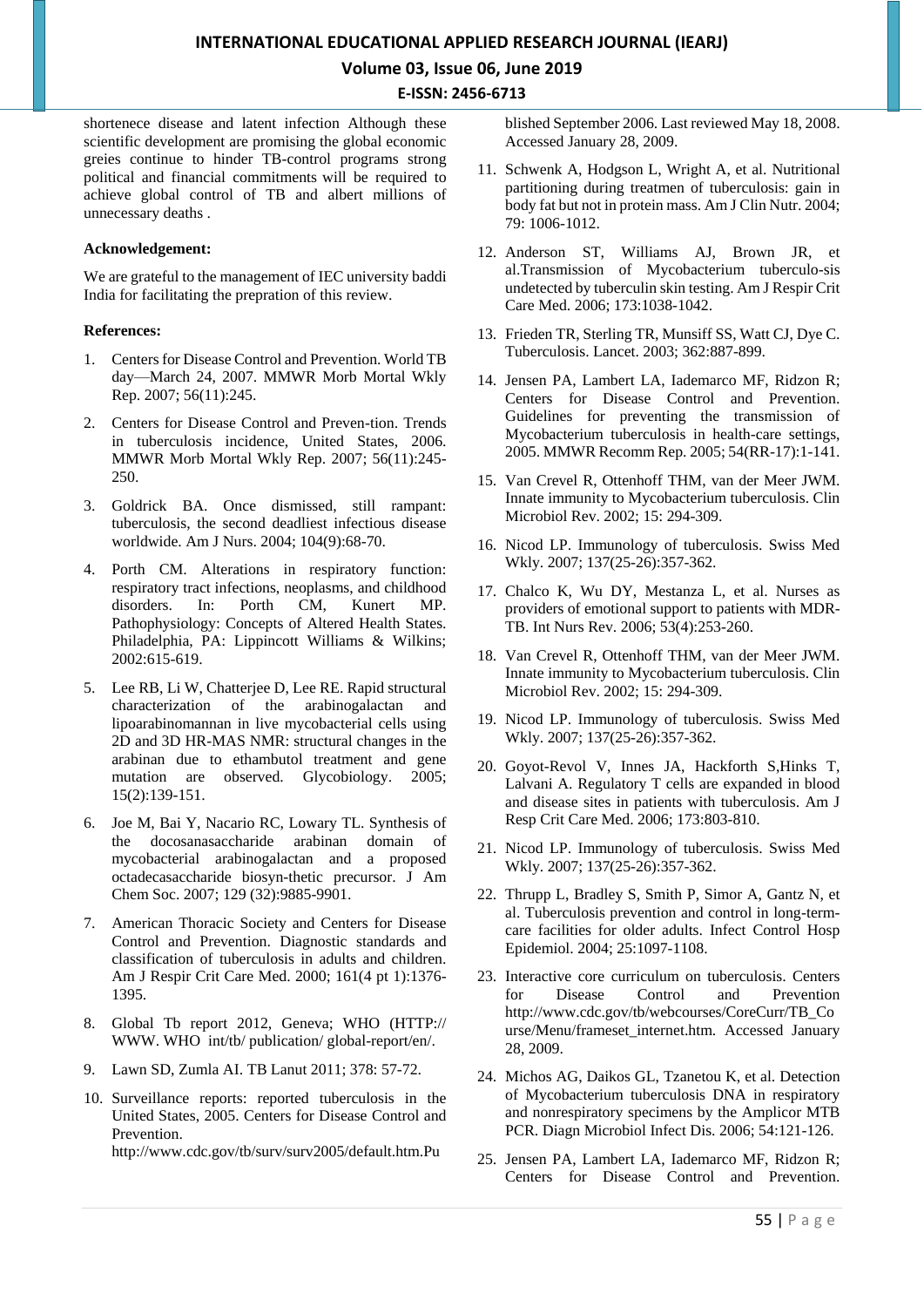# **INTERNATIONAL EDUCATIONAL APPLIED RESEARCH JOURNAL (IEARJ) Volume 03, Issue 06, June 2019**

**E-ISSN: 2456-6713**

shortenece disease and latent infection Although these scientific development are promising the global economic greies continue to hinder TB-control programs strong political and financial commitments will be required to achieve global control of TB and albert millions of unnecessary deaths .

#### **Acknowledgement:**

We are grateful to the management of IEC university baddi India for facilitating the prepration of this review.

#### **References:**

- 1. Centers for Disease Control and Prevention. World TB day—March 24, 2007. MMWR Morb Mortal Wkly Rep. 2007; 56(11):245.
- 2. Centers for Disease Control and Preven-tion. Trends in tuberculosis incidence, United States, 2006. MMWR Morb Mortal Wkly Rep. 2007; 56(11):245- 250.
- 3. Goldrick BA. Once dismissed, still rampant: tuberculosis, the second deadliest infectious disease worldwide. Am J Nurs. 2004; 104(9):68-70.
- 4. Porth CM. Alterations in respiratory function: respiratory tract infections, neoplasms, and childhood disorders. In: Porth CM, Kunert MP. Pathophysiology: Concepts of Altered Health States. Philadelphia, PA: Lippincott Williams & Wilkins; 2002:615-619.
- 5. Lee RB, Li W, Chatterjee D, Lee RE. Rapid structural characterization of the arabinogalactan and lipoarabinomannan in live mycobacterial cells using 2D and 3D HR-MAS NMR: structural changes in the arabinan due to ethambutol treatment and gene mutation are observed. Glycobiology. 2005; 15(2):139-151.
- 6. Joe M, Bai Y, Nacario RC, Lowary TL. Synthesis of the docosanasaccharide arabinan domain of mycobacterial arabinogalactan and a proposed octadecasaccharide biosyn-thetic precursor. J Am Chem Soc. 2007; 129 (32):9885-9901.
- 7. American Thoracic Society and Centers for Disease Control and Prevention. Diagnostic standards and classification of tuberculosis in adults and children. Am J Respir Crit Care Med. 2000; 161(4 pt 1):1376- 1395.
- 8. Global Tb report 2012, Geneva; WHO (HTTP:// [WWW. WHO](http://www.who/) int/tb/ publication/ global-report/en/.
- 9. Lawn SD, Zumla AI. TB Lanut 2011; 378: 57-72.
- 10. Surveillance reports: reported tuberculosis in the United States, 2005. Centers for Disease Control and Prevention.

http://www.cdc.gov/tb/surv/surv2005/default.htm.Pu

blished September 2006. Last reviewed May 18, 2008. Accessed January 28, 2009.

- 11. Schwenk A, Hodgson L, Wright A, et al. Nutritional partitioning during treatmen of tuberculosis: gain in body fat but not in protein mass. Am J Clin Nutr. 2004; 79: 1006-1012.
- 12. Anderson ST, Williams AJ, Brown JR, et al.Transmission of Mycobacterium tuberculo-sis undetected by tuberculin skin testing. Am J Respir Crit Care Med. 2006; 173:1038-1042.
- 13. Frieden TR, Sterling TR, Munsiff SS, Watt CJ, Dye C. Tuberculosis. Lancet. 2003; 362:887-899.
- 14. Jensen PA, Lambert LA, Iademarco MF, Ridzon R; Centers for Disease Control and Prevention. Guidelines for preventing the transmission of Mycobacterium tuberculosis in health-care settings, 2005. MMWR Recomm Rep. 2005; 54(RR-17):1-141.
- 15. Van Crevel R, Ottenhoff THM, van der Meer JWM. Innate immunity to Mycobacterium tuberculosis. Clin Microbiol Rev. 2002; 15: 294-309.
- 16. Nicod LP. Immunology of tuberculosis. Swiss Med Wkly. 2007; 137(25-26):357-362.
- 17. Chalco K, Wu DY, Mestanza L, et al. Nurses as providers of emotional support to patients with MDR-TB. Int Nurs Rev. 2006; 53(4):253-260.
- 18. Van Crevel R, Ottenhoff THM, van der Meer JWM. Innate immunity to Mycobacterium tuberculosis. Clin Microbiol Rev. 2002; 15: 294-309.
- 19. Nicod LP. Immunology of tuberculosis. Swiss Med Wkly. 2007; 137(25-26):357-362.
- 20. Goyot-Revol V, Innes JA, Hackforth S,Hinks T, Lalvani A. Regulatory T cells are expanded in blood and disease sites in patients with tuberculosis. Am J Resp Crit Care Med. 2006; 173:803-810.
- 21. Nicod LP. Immunology of tuberculosis. Swiss Med Wkly. 2007; 137(25-26):357-362.
- 22. Thrupp L, Bradley S, Smith P, Simor A, Gantz N, et al. Tuberculosis prevention and control in long-termcare facilities for older adults. Infect Control Hosp Epidemiol. 2004; 25:1097-1108.
- 23. Interactive core curriculum on tuberculosis. Centers for Disease Control and Prevention http://www.cdc.gov/tb/webcourses/CoreCurr/TB\_Co urse/Menu/frameset\_internet.htm. Accessed January 28, 2009.
- 24. Michos AG, Daikos GL, Tzanetou K, et al. Detection of Mycobacterium tuberculosis DNA in respiratory and nonrespiratory specimens by the Amplicor MTB PCR. Diagn Microbiol Infect Dis. 2006; 54:121-126.
- 25. Jensen PA, Lambert LA, Iademarco MF, Ridzon R; Centers for Disease Control and Prevention.